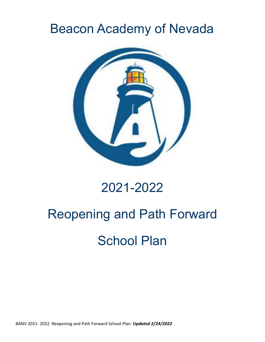## Beacon Academy of Nevada



### 2021-2022

# Reopening and Path Forward School Plan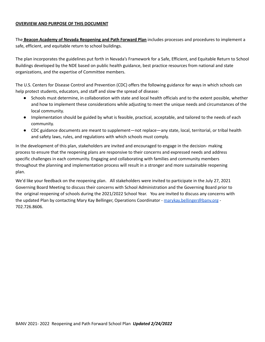#### **OVERVIEW AND PURPOSE OF THIS DOCUMENT**

The **Beacon Academy of Nevada Reopening and Path Forward Plan** includes processes and procedures to implement a safe, efficient, and equitable return to school buildings.

The plan incorporates the guidelines put forth in Nevada's Framework for a Safe, Efficient, and Equitable Return to School Buildings developed by the NDE based on public health guidance, best practice resources from national and state organizations, and the expertise of Committee members.

The U.S. Centers for Disease Control and Prevention (CDC) offers the following guidance for ways in which schools can help protect students, educators, and staff and slow the spread of disease:

- Schools must determine, in collaboration with state and local health officials and to the extent possible, whether and how to implement these considerations while adjusting to meet the unique needs and circumstances of the local community.
- Implementation should be guided by what is feasible, practical, acceptable, and tailored to the needs of each community.
- CDC guidance documents are meant to supplement—not replace—any state, local, territorial, or tribal health and safety laws, rules, and regulations with which schools must comply.

In the development of this plan, stakeholders are invited and encouraged to engage in the decision- making process to ensure that the reopening plans are responsive to their concerns and expressed needs and address specific challenges in each community. Engaging and collaborating with families and community members throughout the planning and implementation process will result in a stronger and more sustainable reopening plan.

We'd like your feedback on the reopening plan. All stakeholders were invited to participate in the July 27, 2021 Governing Board Meeting to discuss their concerns with School Administration and the Governing Board prior to the original reopening of schools during the 2021/2022 School Year. You are invited to discuss any concerns with the updated Plan by contacting Mary Kay Bellinger, Operations Coordinator - [marykay.bellinger@banv.org](mailto:marykay.bellinger@banv.org) - 702.726.8606.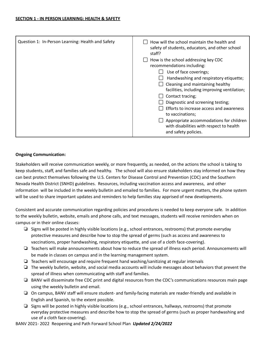#### **Ongoing Communication:**

Stakeholders will receive communication weekly, or more frequently, as needed, on the actions the school is taking to keep students, staff, and families safe and healthy. The school will also ensure stakeholders stay informed on how they can best protect themselves following the U.S. Centers for Disease Control and Prevention (CDC) and the Southern Nevada Health District (SNHD) guidelines. Resources, including vaccination access and awareness, and other information will be included in the weekly bulletin and emailed to families. For more urgent matters, the phone system will be used to share important updates and reminders to help families stay apprised of new developments.

Consistent and accurate communication regarding policies and procedures is needed to keep everyone safe. In addition to the weekly bulletin, website, emails and phone calls, and text messages, students will receive reminders when on campus or in their online classes:

- ❏ Signs will be posted in highly visible locations (e.g., school entrances, restrooms) that promote everyday protective measures and describe how to stop the spread of germs (such as access and awareness to vaccinations, proper handwashing, respiratory etiquette, and use of a cloth face-covering).
- ❏ Teachers will make announcements about how to reduce the spread of illness each period. Announcements will be made in classes on campus and in the learning management system.
- ❏ Teachers will encourage and require frequent hand washing/sanitizing at regular intervals
- ❏ The weekly bulletin, website, and social media accounts will include messages about behaviors that prevent the spread of illness when communicating with staff and families.
- ❏ BANV will disseminate free CDC print and digital resources from the CDC's communications resources main page using the weekly bulletin and email.
- ❏ On campus, BANV staff will ensure student- and family-facing materials are reader-friendly and available in English and Spanish, to the extent possible.
- ❏ Signs will be posted in highly visible locations (e.g., school entrances, hallways, restrooms) that promote everyday protective measures and describe how to stop the spread of germs (such as proper handwashing and use of a cloth face-covering).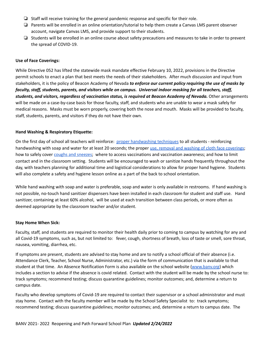- ❏ Staff will receive training for the general pandemic response and specific for their role.
- ❏ Parents will be enrolled in an online orientation/tutorial to help them create a Canvas LMS parent observer account, navigate Canvas LMS, and provide support to their students.
- ❏ Students will be enrolled in an online course about safety precautions and measures to take in order to prevent the spread of COVID-19.

#### **Use of Face Coverings:**

While Directive 052 has lifted the statewide mask mandate effective February 10, 2022, provisions in the Directive permit schools to enact a plan that best meets the needs of their stakeholders. After much discussion and input from stakeholders, it is the policy of Beacon Academy of Nevada *to enforce our current policy requiring the use of masks by* faculty, staff, students, parents, and visitors while on campus. Universal indoor masking for all teachers, staff, *students, and visitors, regardless of vaccination status, is required at Beacon Academy of Nevada.* Other arrangements will be made on a case-by-case basis for those faculty, staff, and students who are unable to wear a mask safely for medical reasons. Masks must be worn properly, covering both the nose and mouth. Masks will be provided to faculty, staff, students, parents, and visitors if they do not have their own.

#### **Hand Washing & Respiratory Etiquette:**

On the first day of school all teachers will reinforce: proper [handwashing](https://www.cdc.gov/handwashing/when-how-handwashing.html) techniques to all students - reinforcing handwashing with soap and water for at least 20 seconds; the proper use, removal and washing of cloth face [coverings](https://www.cdc.gov/coronavirus/2019-ncov/prevent-getting-sick/diy-cloth-face-coverings.html); how to safely cover coughs and [sneezes;](https://www.cdc.gov/healthywater/hygiene/etiquette/coughing_sneezing.html) where to access vaccinations and vaccination awareness; and how to limit contact and in the classroom setting. Students will be encouraged to wash or sanitize hands frequently throughout the day, with teachers planning for additional time and logistical considerations to allow for proper hand hygiene. Students will also complete a safety and hygiene lesson online as a part of the back to school orientation.

While hand washing with soap and water is preferable, soap and water is only available in restrooms. If hand washing is not possible, no-touch hand sanitizer dispensers have been installed in each classroom for student and staff use. Hand sanitizer, containing at least 60% alcohol, will be used at each transition between class periods, or more often as deemed appropriate by the classroom teacher and/or student.

#### **Stay Home When Sick:**

Faculty, staff, and students are required to monitor their health daily prior to coming to campus by watching for any and all Covid-19 symptoms, such as, but not limited to: fever, cough, shortness of breath, loss of taste or smell, sore throat, nausea, vomiting, diarrhea, etc.

If symptoms are present, students are advised to stay home and are to notify a school official of their absence (i.e. Attendance Clerk, Teacher, School Nurse, Administrator, etc.) via the form of communication that is available to that student at that time. An Absence Notification Form is also available on the school website [\(www.banv.org](http://www.banv.org)) which includes a section to advise if the absence is covid related. Contact with the student will be made by the school nurse to: track symptoms; recommend testing; discuss quarantine guidelines; monitor outcomes; and, determine a return to campus date.

Faculty who develop symptoms of Covid-19 are required to contact their supervisor or a school administrator and must stay home. Contact with the faculty member will be made by the School Safety Specialist to: track symptoms; recommend testing; discuss quarantine guidelines; monitor outcomes; and, determine a return to campus date. The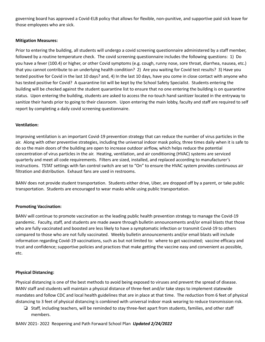governing board has approved a Covid-ELB policy that allows for flexible, non-punitive, and supportive paid sick leave for those employees who are sick.

#### **Mitigation Measures:**

Prior to entering the building, all students will undergo a covid screening questionnaire administered by a staff member, followed by a routine temperature check. The covid screening questionnaire includes the following questions: 1) Do you have a fever (100.4) or higher, or other Covid symptoms (e.g. cough, runny nose, sore throat, diarrhea, nausea, etc.) that you cannot contribute to an underlying health condition? 2) Are you waiting for Covid test results? 3) Have you tested positive for Covid in the last 10 days? and, 4) In the last 10 days, have you come in close contact with anyone who has tested positive for Covid? A quarantine list will be kept by the School Safety Specialist. Students entering the building will be checked against the student quarantine list to ensure that no one entering the building is on quarantine status. Upon entering the building, students are asked to access the no-touch hand sanitizer located in the entryway to sanitize their hands prior to going to their classroom. Upon entering the main lobby, faculty and staff are required to self report by completing a daily covid screening questionnaire.

#### **Ventilation:**

Improving ventilation is an important Covid-19 prevention strategy that can reduce the number of virus particles in the air. Along with other preventive strategies, including the universal indoor mask policy, three times daily when it is safe to do so the main doors of the building are open to increase outdoor airflow, which helps reduce the potential concentration of virus particles in the air. Heating, ventilation, and air conditioning (HVAC) systems are serviced quarterly and meet all code requirements. Filters are sized, installed, and replaced according to manufacturer's instructions. TSTAT settings with fan control switch are set to "On" to ensure the HVAC system provides continuous air filtration and distribution. Exhaust fans are used in restrooms.

BANV does not provide student transportation. Students either drive, Uber, are dropped off by a parent, or take public transportation. Students are encouraged to wear masks while using public transportation.

#### **Promoting Vaccination:**

BANV will continue to promote vaccination as the leading public health prevention strategy to manage the Covid-19 pandemic. Faculty, staff, and students are made aware through bulletin announcements and/or email blasts that those who are fully vaccinated and boosted are less likely to have a symptomatic infection or transmit Covid-19 to others compared to those who are not fully vaccinated. Weekly bulletin announcements and/or email blasts will include information regarding Covid-19 vaccinations, such as but not limited to: where to get vaccinated; vaccine efficacy and trust and confidence; supportive policies and practices that make getting the vaccine easy and convenient as possible, etc.

#### **Physical Distancing:**

Physical distancing is one of the best methods to avoid being exposed to viruses and prevent the spread of disease. BANV staff and students will maintain a physical distance of three-feet and/or take steps to implement statewide mandates and follow CDC and local health guidelines that are in place at that time. The reduction from 6 feet of physical distancing to 3 feet of physical distancing is combined with universal indoor mask wearing to reduce transmission risk.

❏ Staff, including teachers, will be reminded to stay three-feet apart from students, families, and other staff members.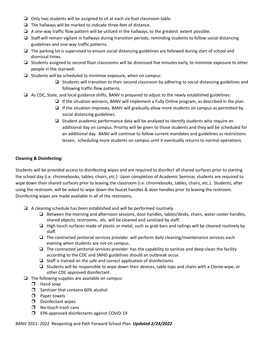- ❏ Only two students will be assigned to sit at each six-foot classroom table.
- ❏ The hallways will be marked to indicate three-feet of distance.
- ❏ A one-way traffic flow pattern will be utilized in the hallways, to the greatest extent possible.
- ❏ Staff will remain vigilant in hallways during transition periods, reminding students to follow social distancing guidelines and one-way traffic patterns.
- ❏ The parking lot is supervised to ensure social distancing guidelines are followed during start of school and dismissal times.
- ❏ Students assigned to second floor classrooms will be dismissed five minutes early, to minimize exposure to other people in the stairwell.
- ❏ Students will be scheduled to minimize exposure, when on campus:
	- ❏ Students will transition to their second classroom by adhering to social distancing guidelines and following traffic-flow patterns.
- ❏ As CDC, State, and local guidance shifts, BANV is prepared to adjust to the newly established guidelines:
	- ❏ If the situation worsens, BANV will implement a Fully Online program, as described in the plan.
	- $\Box$  If the situation improves, BANV will gradually allow more students on campus as permitted by social distancing guidelines.
	- ❏ Student academic performance data will be analyzed to identify students who require an additional day on campus. Priority will be given to those students and they will be scheduled for an additional day. BANV will continue to follow current mandates and guidelines as restrictions lessen, scheduling more students on campus until it eventually returns to normal operations.

#### **Cleaning & Disinfecting:**

Students will be provided access to disinfecting wipes and are required to disinfect all shared surfaces prior to starting the school day (i.e. chromebooks, tables, chairs, etc.) Upon completion of Academic Seminar, students are required to wipe down their shared surfaces prior to leaving the classroom (i.e. chromebooks, tables, chairs, etc.). Students, after using the restroom, will be asked to wipe down the faucet handles & door handles prior to leaving the restroom. Disinfecting wipes are made available in all of the restrooms.

- ❏ A cleaning schedule has been established and will be performed routinely.
	- ❏ Between the morning and afternoon sessions, door handles, tables/desks, chairs, water cooler handles, shared objects, restrooms, etc. will be cleaned and sanitized by staff.
	- ❏ High touch surfaces made of plastic or metal, such as grab bars and railings will be cleaned routinely by staff.
	- ❏ The contracted janitorial services provider will perform daily cleaning/maintenance services each evening when students are not on campus.
	- ❏ The contracted janitorial services provider has the capability to sanitize and deep-clean the facility according to the CDC and SNHD guidelines should an outbreak occur.
	- ❏ Staff is trained on the safe and correct application of disinfectants.
	- ❏ Students will be responsible to wipe-down their devices, table tops and chairs with a Clorox-wipe, or other CDC approved disinfectant.
- $\Box$  The following supplies are available on campus:
	- ❒ Hand soap
	- ❒ Sanitizer that contains 60% alcohol
	- ❒ Paper towels
	- ❒ Disinfectant wipes
	- ❒ No-touch trash cans
	- ❒ EPA-approved disinfectants against COVID-19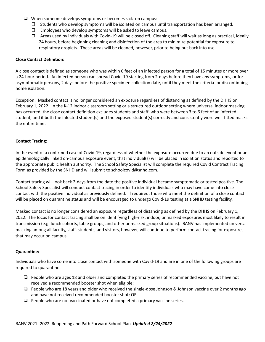- ❏ When someone develops symptoms or becomes sick on campus:
	- ❒ Students who develop symptoms will be isolated on campus until transportation has been arranged.
	- ❒ Employees who develop symptoms will be asked to leave campus.
	- ❒ Areas used by individuals with Covid-19 will be closed off. Cleaning staff will wait as long as practical, ideally 24 hours, before beginning cleaning and disinfection of the area to minimize potential for exposure to respiratory droplets. These areas will be cleaned, however, prior to being put back into use.

#### **Close Contact Definition:**

A close contact is defined as someone who was within 6 feet of an infected person for a total of 15 minutes or more over a 24-hour period. An infected person can spread Covid-19 starting from 2-days before they have any symptoms, or for asymptomatic persons, 2 days before the positive specimen collection date, until they meet the criteria for discontinuing home isolation.

Exception: Masked contact is no longer considered an exposure regardless of distancing as defined by the DHHS on February 1, 2022. In the K-12 indoor classroom setting or a structured outdoor setting where universal indoor masking has occurred, the close contact definition excludes students and staff who were between 3 to 6 feet of an infected student, and if both the infected student(s) and the exposed student(s) correctly and consistently wore well-fitted masks the entire time.

#### **Contact Tracing:**

In the event of a confirmed case of Covid-19, regardless of whether the exposure occurred due to an outside event or an epidemiologically linked on-campus exposure event, that individual(s) will be placed in isolation status and reported to the appropriate public health authority. The School Safety Specialist will complete the required Covid Contract Tracing Form as provided by the SNHD and will submit to [schoolcovid@snhd.com](mailto:schoolcovid@snhd.com).

Contact tracing will look back 2-days from the date the positive individual became symptomatic or tested positive. The School Safety Specialist will conduct contact tracing in order to identify individuals who may have come into close contact with the positive individual as previously defined. If required, those who meet the definition of a close contact will be placed on quarantine status and will be encouraged to undergo Covid-19 testing at a SNHD testing facility.

Masked contact is no longer considered an exposure regardless of distancing as defined by the DHHS on February 1, 2022. The focus for contact tracing shall be on identifying high-risk, indoor, unmasked exposures most likely to result in transmission (e.g. lunch cohorts, table groups, and other unmasked group situations). BANV has implemented universal masking among all faculty, staff, students, and visitors, however, will continue to perform contact tracing for exposures that may occur on campus.

#### **Quarantine:**

Individuals who have come into close contact with someone with Covid-19 and are in one of the following groups are required to quarantine:

- ❏ People who are ages 18 and older and completed the primary series of recommended vaccine, but have not received a recommended booster shot when eligible;
- ❏ People who are 18 years and older who received the single-dose Johnson & Johnson vaccine over 2 months ago and have not received recommended booster shot; OR
- ❏ People who are not vaccinated or have not completed a primary vaccine series.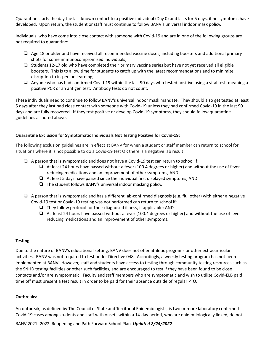Quarantine starts the day the last known contact to a positive individual (Day 0) and lasts for 5 days, if no symptoms have developed. Upon return, the student or staff must continue to follow BANV's universal indoor mask policy.

Individuals who have come into close contact with someone with Covid-19 and are in one of the following groups are not required to quarantine:

- ❏ Age 18 or older and have received all recommended vaccine doses, including boosters and additional primary shots for some immunocompromised individuals;
- ❏ Students 12-17 old who have completed their primary vaccine series but have not yet received all eligible boosters. This is to allow time for students to catch up with the latest recommendations and to minimize disruption to in-person learning;
- ❏ Anyone who has had confirmed Covid-19 within the last 90 days who tested positive using a viral test, meaning a positive PCR or an antigen test. Antibody tests do not count.

These individuals need to continue to follow BANV's universal indoor mask mandate. They should also get tested at least 5 days after they last had close contact with someone with Covid-19 unless they had confirmed Covid-19 in the last 90 days and are fully recovered. If they test positive or develop Covid-19 symptoms, they should follow quarantine guidelines as noted above.

#### **Quarantine Exclusion for Symptomatic Individuals Not Testing Positive for Covid-19:**

The following exclusion guidelines are in effect at BANV for when a student or staff member can return to school for situations where it is not possible to do a Covid-19 test OR there is a negative lab result:

- ❏ A person that is symptomatic and does not have a Covid-19 test can return to school if:
	- ❏ At least 24 hours have passed without a fever (100.4 degrees or higher) and without the use of fever reducing medications and an improvement of other symptoms, AND
	- ❏ At least 5 days have passed since the individual first displayed symptoms; AND
	- ❏ The student follows BANV's universal indoor masking policy.
- $\Box$  A person that is symptomatic and has a different lab-confirmed diagnosis (e.g. flu, other) with either a negative Covid-19 test or Covid-19 testing was not performed can return to school if:
	- ❏ They follow protocol for their diagnosed illness, if applicable; AND
	- ❏ At least 24 hours have passed without a fever (100.4 degrees or higher) and without the use of fever reducing medications and an improvement of other symptoms.

#### **Testing:**

Due to the nature of BANV's educational setting, BANV does not offer athletic programs or other extracurricular activities. BANV was not required to test under Directive 048. Accordingly, a weekly testing program has not been implemented at BANV. However, staff and students have access to testing through community testing resources such as the SNHD testing facilities or other such facilities, and are encouraged to test if they have been found to be close contacts and/or are symptomatic. Faculty and staff members who are symptomatic and wish to utilize Covid-ELB paid time off must present a test result in order to be paid for their absence outside of regular PTO.

#### **Outbreaks:**

An outbreak, as defined by The Council of State and Territorial Epidemiologists, is two or more laboratory confirmed Covid-19 cases among students and staff with onsets within a 14-day period, who are epidemiologically linked, do not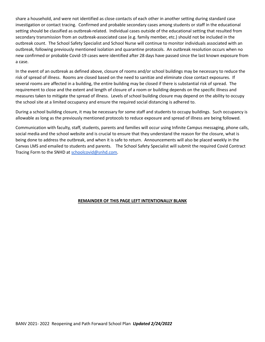share a household, and were not identified as close contacts of each other in another setting during standard case investigation or contact tracing. Confirmed and probable secondary cases among students or staff in the educational setting should be classified as outbreak-related. Individual cases outside of the educational setting that resulted from secondary transmission from an outbreak-associated case (e.g. family member, etc.) should not be included in the outbreak count. The School Safety Specialist and School Nurse will continue to monitor individuals associated with an outbreak, following previously mentioned isolation and quarantine protocols. An outbreak resolution occurs when no new confirmed or probable Covid-19 cases were identified after 28 days have passed since the last known exposure from a case.

In the event of an outbreak as defined above, closure of rooms and/or school buildings may be necessary to reduce the risk of spread of illness. Rooms are closed based on the need to sanitize and eliminate close contact exposures. If several rooms are affected in a building, the entire building may be closed if there is substantial risk of spread. The requirement to close and the extent and length of closure of a room or building depends on the specific illness and measures taken to mitigate the spread of illness. Levels of school building closure may depend on the ability to occupy the school site at a limited occupancy and ensure the required social distancing is adhered to.

During a school building closure, it may be necessary for some staff and students to occupy buildings. Such occupancy is allowable as long as the previously mentioned protocols to reduce exposure and spread of illness are being followed.

Communication with faculty, staff, students, parents and families will occur using Infinite Campus messaging, phone calls, social media and the school website and is crucial to ensure that they understand the reason for the closure, what is being done to address the outbreak, and when it is safe to return. Announcements will also be placed weekly in the Canvas LMS and emailed to students and parents. The School Safety Specialist will submit the required Covid Contract Tracing Form to the SNHD at [schoolcovid@snhd.com.](mailto:schoolcovid@snhd.com)

#### **REMAINDER OF THIS PAGE LEFT INTENTIONALLY BLANK**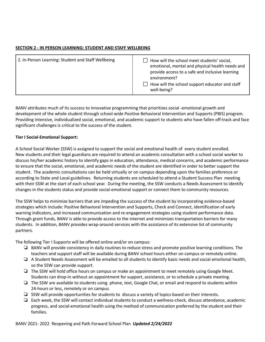#### **SECTION 2 - IN PERSON LEARNING: STUDENT AND STAFF WELLBEING**

| 2. In-Person Learning: Student and Staff Wellbeing | How will the school meet students' social,<br>emotional, mental and physical health needs and<br>provide access to a safe and inclusive learning<br>environment?<br>How will the school support educator and staff<br>well-being? |
|----------------------------------------------------|-----------------------------------------------------------------------------------------------------------------------------------------------------------------------------------------------------------------------------------|
|----------------------------------------------------|-----------------------------------------------------------------------------------------------------------------------------------------------------------------------------------------------------------------------------------|

BANV attributes much of its success to innovative programming that prioritizes social -emotional growth and development of the whole student through school-wide Positive Behavioral Intervention and Supports (PBIS) program. Providing intensive, individualized social, emotional, and academic support to students who have fallen off-track and face significant challenges is critical to the success of the student.

#### **Tier I Social-Emotional Support:**

A School Social Worker (SSW) is assigned to support the social and emotional health of every student enrolled. New students and their legal guardians are required to attend an academic consultation with a school social worker to discuss his/her academic history to identify gaps in education, attendance, medical concerns, and academic performance to ensure that the social, emotional, and academic needs of the student are identified in order to better support the student. The academic consultations can be held virtually or on campus depending upon the families preference or according to State and Local guidelines. Returning students are scheduled to attend a Student Success Plan meeting with their SSW at the start of each school year. During the meeting, the SSW conducts a Needs Assessment to identify changes in the students status and provide social-emotional support or connect them to community resources.

The SSW helps to minimize barriers that are impeding the success of the student by incorporating evidence-based strategies which include: Positive Behavioral Intervention and Supports, Check and Connect, identification of early warning indicators, and increased communication and re-engagement strategies using student performance data. Through grant funds, BANV is able to provide access to the internet and minimizes transportation barriers for many students. In addition, BANV provides wrap-around services with the assistance of its extensive list of community partners.

The following Tier I Supports will be offered online and/or on campus:

- ❏ BANV will provide consistency in daily routines to reduce stress and promote positive learning conditions. The teachers and support staff will be available during BANV school hours either on campus or remotely online.
- ❏ A Student Needs Assessment will be emailed to all students to identify basic needs and social emotional health, so the SSW can provide support.
- ❏ The SSW will hold office hours on campus or make an appointment to meet remotely using Google Meet. Students can drop-in without an appointment for support, assistance, or to schedule a private meeting.
- ❏ The SSW are available to students using phone, text, Google Chat, or email and respond to students within 24-hours or less, remotely or on campus.
- ❏ SSW will provide opportunities for students to discuss a variety of topics based on their interests.
- ❏ Each week, the SSW will contact individual students to conduct a wellness-check, discuss attendance, academic progress, and social-emotional health using the method of communication preferred by the student and their families.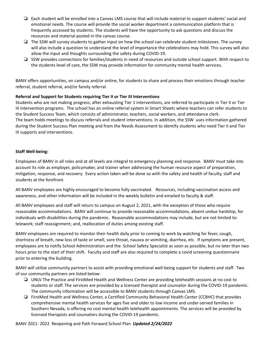- ❏ Each student will be enrolled into a Canvas LMS course that will include material to support students' social and emotional needs. The course will provide the social worker department a communication platform that is frequently accessed by students. The students will have the opportunity to ask questions and discuss the resources and material posted in the canvas course.
- ❏ The SSW will survey students to gather input on how the school can celebrate student milestones. The survey will also include a question to understand the level of importance the celebrations may hold. This survey will also allow the input and thoughts surrounding the safety during COVID-19.
- ❏ SSW provides connections for families/students in need of resources and outside school support. With respect to the students level of care, the SSW may provide information for community mental health services.

BANV offers opportunities, on campus and/or online, for students to share and process their emotions through teacher referral, student referral, and/or family referral.

#### **Referral and Support for Students requiring Tier II or Tier III Interventions**

Students who are not making progress, after exhausting Tier 1 interventions, are referred to participate in Tier II or Tier III intervention programs. The school has an online referral system in Smart Sheets where teachers can refer students to the Student Success Team, which consists of administrator, teachers, social workers, and attendance clerk. The team holds meetings to discuss referrals and student interventions. In addition, the SSW uses information gathered during the Student Success Plan meeting and from the Needs Assessment to identify students who need Tier II and Tier III supports and interventions.

#### **Staff Well-being:**

Employees of BANV in all roles and at all levels are integral to emergency planning and response. BANV must take into account its role as employer, policymaker, and trainer when addressing the human resource aspect of preparation, mitigation, response, and recovery. Every action taken will be done so with the safety and health of faculty, staff and students at the forefront.

All BANV employees are highly encouraged to become fully vaccinated. Resources, including vaccination access and awareness, and other information will be included in the weekly bulletin and emailed to faculty & staff.

All BANV employees and staff will return to campus on August 2, 2021, with the exception of those who require reasonable accommodations. BANV will continue to provide reasonable accommodations, absent undue hardship, for individuals with disabilities during the pandemic. Reasonable accommodations may include, but are not limited to: telework; staff reassignment; and, reallocation of duties among existing staff.

BANV employees are required to monitor their health daily prior to coming to work by watching for fever, cough, shortness of breath, new loss of taste or smell, sore throat, nausea or vomiting, diarrhea, etc. If symptoms are present, employees are to notify School Administration and the School Safety Specialist as soon as possible, but no later than two hours prior to the start of their shift. Faculty and staff are also required to complete a covid screening questionnaire prior to entering the building.

BANV will utilize community partners to assist with providing emotional well-being support for students and staff. Two of our community partners are listed below:

- ❏ UNLV The Practice and FirstMed Health and Wellness Center are providing telehealth sessions at no cost to students or staff. The services are provided by a licensed therapist and counselor during the COVID-19 pandemic. The community information will be accessible to BANV students through Canvas LMS.
- ❏ FirstMed Health and Wellness Center, a Certified Community Behavioral Health Center (CCBHC) that provides comprehensive mental health services for ages five and older to low income and under-served families in Southern Nevada, is offering no cost mental health telehealth appointments. The services will be provided by licensed therapists and counselors during the COVID-19 pandemic.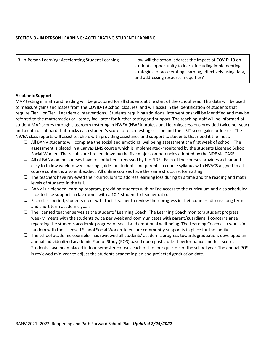#### **SECTION 3 - IN PERSON LEARNING: ACCELERATING STUDENT LEARNING**

| 3. In-Person Learning: Accelerating Student Learning | How will the school address the impact of COVID-19 on<br>students' opportunity to learn, including implementing<br>strategies for accelerating learning, effectively using data,<br>and addressing resource inequities? |
|------------------------------------------------------|-------------------------------------------------------------------------------------------------------------------------------------------------------------------------------------------------------------------------|
|------------------------------------------------------|-------------------------------------------------------------------------------------------------------------------------------------------------------------------------------------------------------------------------|

#### **Academic Support**

MAP testing in math and reading will be proctored for all students at the start of the school year. This data will be used to measure gains and losses from the COVID-19 school closures, and will assist in the identification of students that require Tier II or Tier III academic interventions.. Students requiring additional interventions will be identified and may be referred to the mathematics or literacy facilitator for further testing and support. The teaching staff will be informed of student MAP scores through classroom rostering in NWEA (NWEA professional learning sessions provided twice per year) and a data dashboard that tracks each student's score for each testing session and their RIT score gains or losses. The NWEA class reports will assist teachers with providing assistance and support to students that need it the most.

- ❏ All BANV students will complete the social and emotional wellbeing assessment the first week of school. The assessment is placed in a Canvas LMS course which is implemented/monitored by the students Licensed School Social Worker. The results are broken down by the five major competencies adopted by the NDE via CASEL.
- ❏ All of BANV online courses have recently been renewed by the NDE. Each of the courses provides a clear and easy to follow week to week pacing guide for students and parents, a course syllabus with NVACS aligned to all course content is also embedded. All online courses have the same structure, formatting.
- ❏ The teachers have reviewed their curriculum to address learning loss during this time and the reading and math levels of students in the fall.
- ❏ BANV is a blended learning program, providing students with online access to the curriculum and also scheduled face-to-face support in classrooms with a 10:1 student to teacher ratio.
- ❏ Each class period, students meet with their teacher to review their progress in their courses, discuss long term and short term academic goals.
- ❏ The licensed teacher serves as the students' Learning Coach. The Learning Coach monitors student progress weekly, meets with the students twice per week and communicates with parent/guardians if concerns arise regarding the students academic progress or social and emotional well-being. The Learning Coach also works in tandem with the Licensed School Social Worker to ensure community support is in place for the family.
- ❏ The school academic counselor has reviewed all students' academic progress towards graduation, developed an annual individualized academic Plan of Study (POS) based upon past student performance and test scores. Students have been placed in four semester courses each of the four quarters of the school year. The annual POS is reviewed mid-year to adjust the students academic plan and projected graduation date.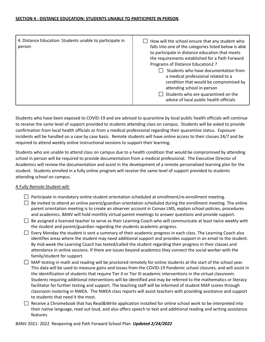#### **SECTION 4 - DISTANCE EDUCATION: STUDENTS UNABLE TO PARTICIPATE IN PERSON**

| 4. Distance Education: Students unable to participate in<br>person | How will the school ensure that any student who<br>falls into one of the categories listed below is able<br>to participate in distance education that meets<br>the requirements established for a Path Forward<br>Programs of Distance Education2 ?<br>Students who have documentation from<br>a medical professional related to a |
|--------------------------------------------------------------------|------------------------------------------------------------------------------------------------------------------------------------------------------------------------------------------------------------------------------------------------------------------------------------------------------------------------------------|
|                                                                    | condition that would be compromised by<br>attending school in-person                                                                                                                                                                                                                                                               |
|                                                                    | Students who are quarantined on the<br>advice of local public health officials                                                                                                                                                                                                                                                     |

Students who have been exposed to COVID-19 and are advised to quarantine by local public health officials will continue to receive the same level of support provided to students attending class on campus. Students will be asked to provide confirmation from local health officials or from a medical professional regarding their quarantine status. Exposure incidents will be handled on a case by case basis. Remote students will have online access to their classes 24/7 and be required to attend weekly online instructional sessions to support their learning.

Students who are unable to attend class on campus due to a health condition that would be compromised by attending school in person will be required to provide documentation from a medical professional. The Executive Director of Academics will review the documentation and assist in the development of a remote personalized learning plan for the student. Students enrolled in a fully online program will receive the same level of support provided to students attending school on campus.

#### A Fully Remote Student will:

- $\Box$  Participate in mandatory online student orientation scheduled at enrollment/re-enrollment meeting.
- $\Box$  Be invited to attend an online parent/guardian orientation scheduled during the enrollment meeting. The online parent orientation meeting is to create an observer account in Canvas LMS, explain school policies, procedures and academics. BANV will hold monthly virtual parent meetings to answer questions and provide support.
- $\Box$  Be assigned a licensed teacher to serve as their Learning Coach who will communicate at least twice weekly with the student and parent/guardian regarding the students academic progress.
- $\Box$  Every Monday the student is sent a summary of their academic progress in each class. The Learning Coach also identifies areas where the student may need additional support and provides support in an email to the student. By mid-week the Learning Coach has texted/called the student regarding their progress in their classes and attendance in online sessions. If there are issues beyond academics they connect the social worker with the family/student for support.
- $\Box$  MAP testing in math and reading will be proctored remotely for online students at the start of the school year. This data will be used to measure gains and losses from the COVID-19 Pandemic school closures, and will assist in the identification of students that require Tier II or Tier III academic interventions in the virtual classroom. Students requiring additional interventions will be identified and may be referred to the mathematics or literacy facilitator for further testing and support. The teaching staff will be informed of student MAP scores through classroom rostering in NWEA. The NWEA class reports will assist teachers with providing assistance and support to students that need it the most.
- $\Box$  Receive a Chromebook that has Read&Write application installed for online school work to be interpreted into their native language, read out loud, and also offers speech to text and additional reading and writing assistance features.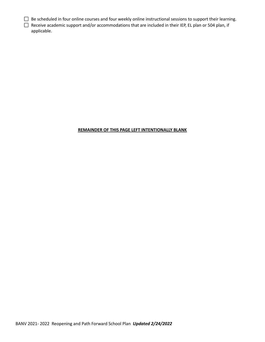- $\Box$  Be scheduled in four online courses and four weekly online instructional sessions to support their learning.
- □ Receive academic support and/or accommodations that are included in their IEP, EL plan or 504 plan, if applicable.

#### **REMAINDER OF THIS PAGE LEFT INTENTIONALLY BLANK**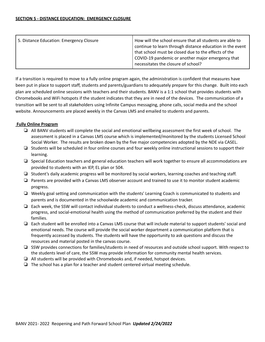| 5. Distance Education: Emergency Closure | How will the school ensure that all students are able to<br>continue to learn through distance education in the event<br>that school must be closed due to the effects of the<br>COVID-19 pandemic or another major emergency that<br>necessitates the closure of school? |
|------------------------------------------|---------------------------------------------------------------------------------------------------------------------------------------------------------------------------------------------------------------------------------------------------------------------------|
|------------------------------------------|---------------------------------------------------------------------------------------------------------------------------------------------------------------------------------------------------------------------------------------------------------------------------|

If a transition is required to move to a fully online program again, the administration is confident that measures have been put in place to support staff, students and parents/guardians to adequately prepare for this change. Built into each plan are scheduled online sessions with teachers and their students. BANV is a 1:1 school that provides students with Chromebooks and WiFi hotspots if the student indicates that they are in need of the devices. The communication of a transition will be sent to all stakeholders using Infinite Campus messaging, phone calls, social media and the school website. Announcements are placed weekly in the Canvas LMS and emailed to students and parents.

#### **Fully Online Program**

- ❏ All BANV students will complete the social and emotional wellbeing assessment the first week of school. The assessment is placed in a Canvas LMS course which is implemented/monitored by the students Licensed School Social Worker. The results are broken down by the five major competencies adopted by the NDE via CASEL.
- ❏ Students will be scheduled in four online courses and four weekly online instructional sessions to support their learning.
- ❏ Special Education teachers and general education teachers will work together to ensure all accommodations are provided to students with an IEP, EL plan or 504.
- ❏ Student's daily academic progress will be monitored by social workers, learning coaches and teaching staff.
- ❏ Parents are provided with a Canvas LMS observer account and trained to use it to monitor student academic progress.
- ❏ Weekly goal setting and communication with the students' Learning Coach is communicated to students and parents and is documented in the schoolwide academic and communication tracker.
- ❏ Each week, the SSW will contact individual students to conduct a wellness-check, discuss attendance, academic progress, and social-emotional health using the method of communication preferred by the student and their families.
- ❏ Each student will be enrolled into a Canvas LMS course that will include material to support students' social and emotional needs. The course will provide the social worker department a communication platform that is frequently accessed by students. The students will have the opportunity to ask questions and discuss the resources and material posted in the canvas course.
- ❏ SSW provides connections for families/students in need of resources and outside school support. With respect to the students level of care, the SSW may provide information for community mental health services.
- ❏ All students will be provided with Chromebooks and, if needed, hotspot devices.
- ❏ The school has a plan for a teacher and student centered virtual meeting schedule.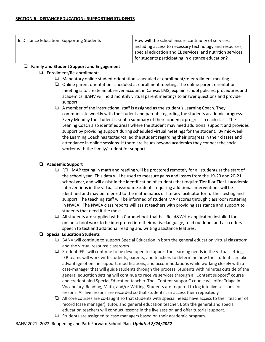| 6. Distance Education: Supporting Students | How will the school ensure continuity of services,                                                                                                                         |
|--------------------------------------------|----------------------------------------------------------------------------------------------------------------------------------------------------------------------------|
|                                            | including access to necessary technology and resources,<br>special education and EL services, and nutrition services,<br>for students participating in distance education? |

#### ❏ **Family and Student Support and Engagement**

- ❏ Enrollment/Re-enrollment:
	- ❏ Mandatory online student orientation scheduled at enrollment/re-enrollment meeting.
	- ❏ Online parent orientation scheduled at enrollment meeting. The online parent orientation meeting is to create an observer account in Canvas LMS, explain school policies, procedures and academics. BANV will hold monthly virtual parent meetings to answer questions and provide support.
	- ❏ A member of the instructional staff is assigned as the student's Learning Coach. They communicate weekly with the student and parents regarding the students academic progress. Every Monday the student is sent a summary of their academic progress in each class. The Leaning Coach also identifies areas where the student may need additional support and provides support by providing support during scheduled virtual meetings for the student. By mid-week the Learning Coach has texted/called the student regarding their progress in their classes and attendance in online sessions. If there are issues beyond academics they connect the social worker with the family/student for support.

#### ❏ **Academic Support**

- ❏ RTI: MAP testing in math and reading will be proctored remotely for all students at the start of the school year. This data will be used to measure gains and losses from the 19-20 and 20-21 school year, and will assist in the identification of students that require Tier II or Tier III academic interventions in the virtual classroom. Students requiring additional interventions will be identified and may be referred to the mathematics or literacy facilitator for further testing and support. The teaching staff will be informed of student MAP scores through classroom rostering in NWEA. The NWEA class reports will assist teachers with providing assistance and support to students that need it the most.
- ❏ All students are supplied with a Chromebook that has Read&Write application installed for online school work to be interpreted into their native language, read out loud, and also offers speech to text and additional reading and writing assistance features.

#### ❏ **Special Education Students**

- ❏ BANV will continue to support Special Education in both the general education virtual classroom and the virtual resource classroom.
- ❏ Student IEPs will continue to be developed to support the learning needs in the virtual setting. IEP teams will work with students, parents, and teachers to determine how the student can take advantage of online support, modifications, and accommodations while working closely with a case-manager that will guide students through the process. Students with minutes outside of the general education setting will continue to receive services through a "Content support" course and credentialed Special Education teacher. The "Content support" course will offer Triage in Vocabulary, Reading, Math, and/or Writing. Students are required to log into live sessions for lessons. All live lessons are recorded so that students can access them repeatedly.
- ❏ All core courses are co-taught so that students with special needs have access to their teacher of record (case manager), tutor, and general education teacher. Both the general and special education teachers will conduct lessons in the live session and offer tutorial support.
- ❏ Students are assigned to case managers based on their academic program.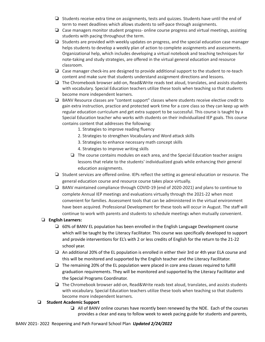- ❏ Students receive extra time on assignments, tests and quizzes. Students have until the end of term to meet deadlines which allows students to self-pace through assignments.
- ❏ Case managers monitor student progress- online course progress and virtual meetings, assisting students with pacing throughout the term.
- ❏ Students are provided with weekly updates on progress, and the special education case manager helps students to develop a weekly plan of action to complete assignments and assessments. Organizational help, which includes developing a virtual notebook and teaching techniques for note-taking and study strategies, are offered in the virtual general education and resource classroom.
- ❏ Case manager check-ins are designed to provide additional support to the student to re-teach content and make sure that students understand assignment directions and lessons.
- ❏ The Chromebook browser add-on, Read&Write reads text aloud, translates, and assists students with vocabulary. Special Education teachers utilize these tools when teaching so that students become more independent learners.
- ❏ BANV Resource classes are "content support" classes where students receive elective credit to gain extra instruction, practice and protected work time for a core class so they can keep up with regular education curriculum and get extra support to be successful. This course is taught by a Special Education teacher who works with students on their individualized IEP goals. This course contains content that addresses the following:
	- 1. Strategies to improve reading fluency
	- 2. Strategies to strengthen Vocabulary and Word attack skills
	- 3. Strategies to enhance necessary math concept skills
	- 4. Strategies to improve writing skills
	- ❏ The course contains modules on each area, and the Special Education teacher assigns lessons that relate to the students' individualized goals while enhancing their general education assignments.
- ❏ Student services are offered online. IEPs reflect the setting as general education or resource. The general education course and resource course takes place virtually.
- ❏ BANV maintained compliance through COVID-19 (end of 2020-2021) and plans to continue to complete Annual IEP meetings and evaluations virtually through the 2021-22 when most convenient for families. Assessment tools that can be administered in the virtual environment have been acquired. Professional Development for these tools will occur in August. The staff will continue to work with parents and students to schedule meetings when mutually convenient.

#### ❏ **English Learners:**

- ❏ 60% of BANV EL population has been enrolled in the English Language Development course which will be taught by the Literacy Facilitator. This course was specifically developed to support and provide interventions for EL's with 2 or less credits of English for the return to the 21-22 school year.
- ❏ An additional 20% of the EL population is enrolled in either their 3rd or 4th year ELA course and this will be monitored and supported by the English teacher and the Literacy Facilitator.
- ❏ The remaining 20% of the EL population were placed in core area classes required to fulfill graduation requirements. They will be monitored and supported by the Literacy Facilitator and the Special Programs Coordinator.
- ❏ The Chromebook browser add-on, Read&Write reads text aloud, translates, and assists students with vocabulary. Special Education teachers utilize these tools when teaching so that students become more independent learners.

#### ❏ **Student Academic Support**

❏ All of BANV online courses have recently been renewed by the NDE. Each of the courses provides a clear and easy to follow week to week pacing guide for students and parents,